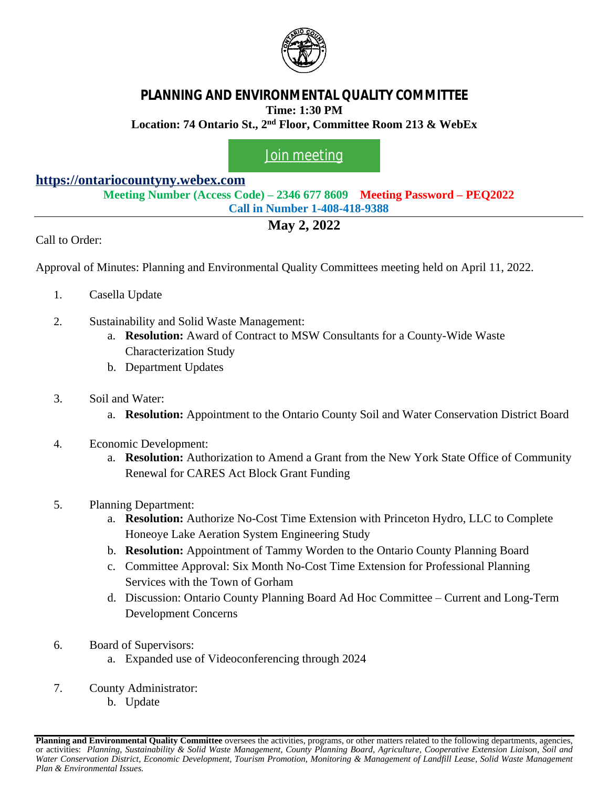

# **PLANNING AND ENVIRONMENTAL QUALITY COMMITTEE Time: 1:30 PM**

**Location: 74 Ontario St., 2nd Floor, Committee Room 213 & WebEx**

## [Join meeting](https://ontariocountyny.webex.com/)

### **<https://ontariocountyny.webex.com>**

**Meeting Number (Access Code) – 2346 677 8609 Meeting Password – PEQ2022 Call in Number 1-408-418-9388**

## **May 2, 2022**

Call to Order:

Approval of Minutes: Planning and Environmental Quality Committees meeting held on April 11, 2022.

- 1. Casella Update
- 2. Sustainability and Solid Waste Management:
	- a. **Resolution:** Award of Contract to MSW Consultants for a County-Wide Waste Characterization Study
	- b. Department Updates

#### 3. Soil and Water:

a. **Resolution:** Appointment to the Ontario County Soil and Water Conservation District Board

#### 4. Economic Development:

- a. **Resolution:** Authorization to Amend a Grant from the New York State Office of Community Renewal for CARES Act Block Grant Funding
- 5. Planning Department:
	- a. **Resolution:** Authorize No-Cost Time Extension with Princeton Hydro, LLC to Complete Honeoye Lake Aeration System Engineering Study
	- b. **Resolution:** Appointment of Tammy Worden to the Ontario County Planning Board
	- c. Committee Approval: Six Month No-Cost Time Extension for Professional Planning Services with the Town of Gorham
	- d. Discussion: Ontario County Planning Board Ad Hoc Committee Current and Long-Term Development Concerns
- 6. Board of Supervisors:
	- a. Expanded use of Videoconferencing through 2024
- 7. County Administrator:
	- b. Update